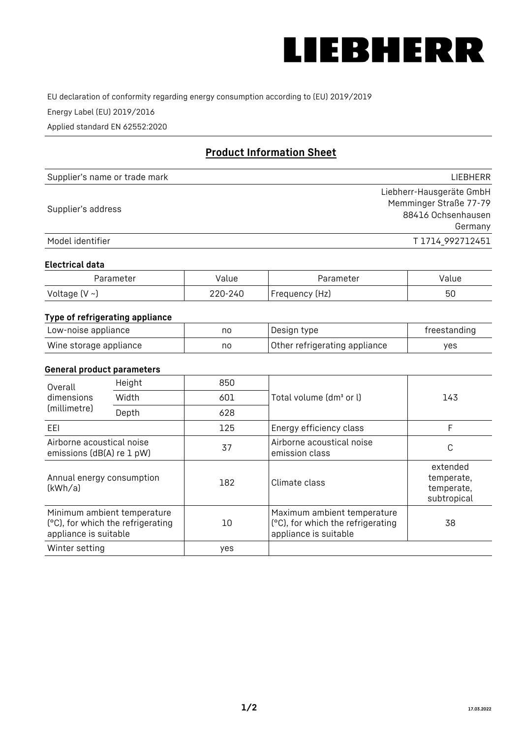

EU declaration of conformity regarding energy consumption according to (EU) 2019/2019

Energy Label (EU) 2019/2016

Applied standard EN 62552:2020

# **Product Information Sheet**

| Supplier's name or trade mark | <b>LIFBHFRR</b>          |
|-------------------------------|--------------------------|
|                               | Liebherr-Hausgeräte GmbH |
|                               | Memminger Straße 77-79   |
| Supplier's address            | 88416 Ochsenhausen       |
|                               | Germany                  |
| Model identifier              | T1714 992712451          |

#### **Electrical data**

| Parameter           | Value   | Parameter      | Value |
|---------------------|---------|----------------|-------|
| Voltage (V $\sim$ ) | 220-240 | Frequency (Hz) | 50    |

## **Type of refrigerating appliance**

| Low-noise appliance    | nc | Design type                   | freestanding |
|------------------------|----|-------------------------------|--------------|
| Wine storage appliance | nc | Other refrigerating appliance | ves          |

## **General product parameters**

| Height<br>Overall                                                                         |       | 850 |                                                                                           |                                                     |
|-------------------------------------------------------------------------------------------|-------|-----|-------------------------------------------------------------------------------------------|-----------------------------------------------------|
| dimensions<br>(millimetre)                                                                | Width | 601 | Total volume (dm <sup>3</sup> or l)                                                       | 143                                                 |
|                                                                                           | Depth | 628 |                                                                                           |                                                     |
| EEL                                                                                       |       | 125 | Energy efficiency class                                                                   | F                                                   |
| Airborne acoustical noise<br>emissions (dB(A) re 1 pW)                                    |       | 37  | Airborne acoustical noise<br>emission class                                               | С                                                   |
| Annual energy consumption<br>(kWh/a)                                                      |       | 182 | Climate class                                                                             | extended<br>temperate,<br>temperate,<br>subtropical |
| Minimum ambient temperature<br>(°C), for which the refrigerating<br>appliance is suitable |       | 10  | Maximum ambient temperature<br>(°C), for which the refrigerating<br>appliance is suitable | 38                                                  |
| Winter setting                                                                            |       | yes |                                                                                           |                                                     |